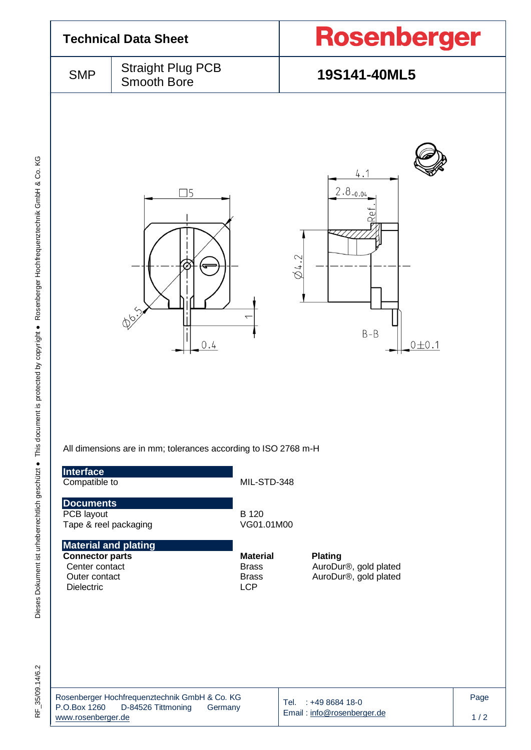

Dieses Dokument ist urheberrechtlich geschützt ● This document is protected by copyright ● Rosenberger Hochfrequenztechnik GmbH & Co. KG F\_35/09.14/6.2 Dieses Dokument ist urheberrechtlich geschützt ● This document is protected by copyright ● Rosenberger Hochfrequenztechnik GmbH & Co. KG

RF 35/09.14/6.2